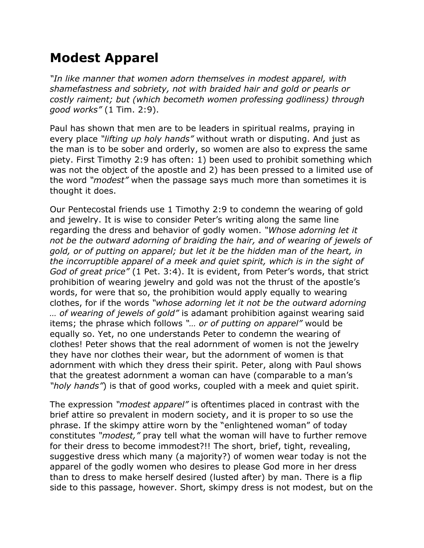## **Modest Apparel**

*"In like manner that women adorn themselves in modest apparel, with shamefastness and sobriety, not with braided hair and gold or pearls or costly raiment; but (which becometh women professing godliness) through good works"* (1 Tim. 2:9).

Paul has shown that men are to be leaders in spiritual realms, praying in every place *"lifting up holy hands"* without wrath or disputing. And just as the man is to be sober and orderly, so women are also to express the same piety. First Timothy 2:9 has often: 1) been used to prohibit something which was not the object of the apostle and 2) has been pressed to a limited use of the word *"modest"* when the passage says much more than sometimes it is thought it does.

Our Pentecostal friends use 1 Timothy 2:9 to condemn the wearing of gold and jewelry. It is wise to consider Peter's writing along the same line regarding the dress and behavior of godly women. *"Whose adorning let it*  not be the outward adorning of braiding the hair, and of wearing of jewels of *gold, or of putting on apparel; but let it be the hidden man of the heart, in the incorruptible apparel of a meek and quiet spirit, which is in the sight of God of great price"* (1 Pet. 3:4). It is evident, from Peter's words, that strict prohibition of wearing jewelry and gold was not the thrust of the apostle's words, for were that so, the prohibition would apply equally to wearing clothes, for if the words *"whose adorning let it not be the outward adorning … of wearing of jewels of gold"* is adamant prohibition against wearing said items; the phrase which follows *"… or of putting on apparel"* would be equally so. Yet, no one understands Peter to condemn the wearing of clothes! Peter shows that the real adornment of women is not the jewelry they have nor clothes their wear, but the adornment of women is that adornment with which they dress their spirit. Peter, along with Paul shows that the greatest adornment a woman can have (comparable to a man's *"holy hands"*) is that of good works, coupled with a meek and quiet spirit.

The expression *"modest apparel"* is oftentimes placed in contrast with the brief attire so prevalent in modern society, and it is proper to so use the phrase. If the skimpy attire worn by the "enlightened woman" of today constitutes *"modest,"* pray tell what the woman will have to further remove for their dress to become immodest?!! The short, brief, tight, revealing, suggestive dress which many (a majority?) of women wear today is not the apparel of the godly women who desires to please God more in her dress than to dress to make herself desired (lusted after) by man. There is a flip side to this passage, however. Short, skimpy dress is not modest, but on the